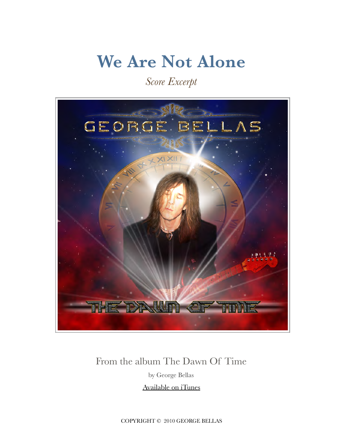## **We Are Not Alone**

## *Score Excerpt*



#### From the album The Dawn Of Time

by George Bellas

[Available on iTunes](https://itunes.apple.com/us/album/the-dawn-of-time/id383795471)

COPYRIGHT © 2010 GEORGE BELLAS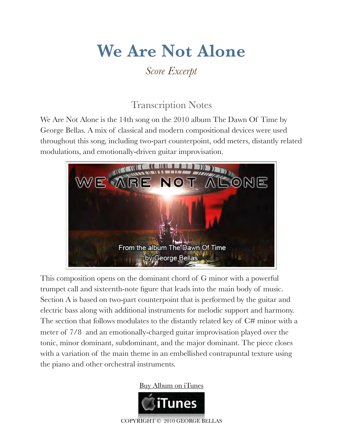# **We Are Not Alone**

## *Score Excerpt*

### Transcription Notes

We Are Not Alone is the 14th song on the 2010 album The Dawn Of Time by George Bellas. A mix of classical and modern compositional devices were used throughout this song, including two-part counterpoint, odd meters, distantly related modulations, and emotionally-driven guitar improvisation.



This composition opens on the dominant chord of G minor with a powerful trumpet call and sixteenth-note figure that leads into the main body of music. Section A is based on two-part counterpoint that is performed by the guitar and electric bass along with additional instruments for melodic support and harmony. The section that follows modulates to the distantly related key of  $C\#$  minor with a meter of 7/8 and an emotionally-charged guitar improvisation played over the tonic, minor dominant, subdominant, and the major dominant. The piece closes with a variation of the main theme in an embellished contrapuntal texture using the piano and other orchestral instruments.

[Buy Album on iTunes](https://itunes.apple.com/us/album/the-dawn-of-time/id383795471)



COPYRIGHT © 2010 GEORGE BELLAS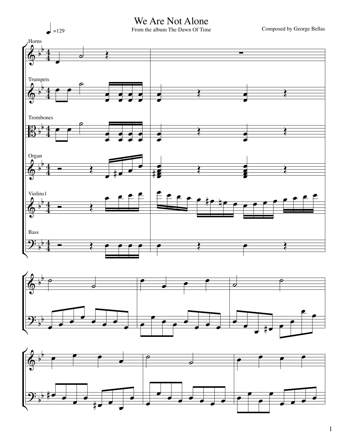



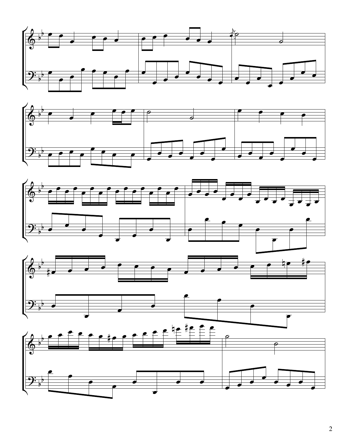







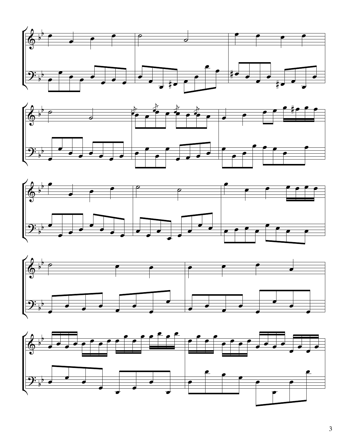







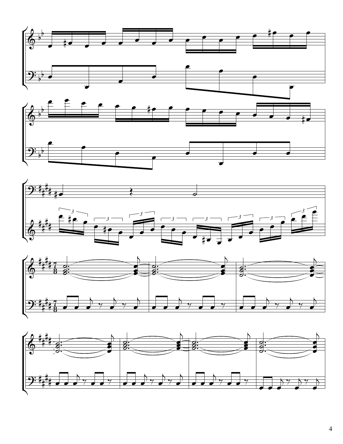





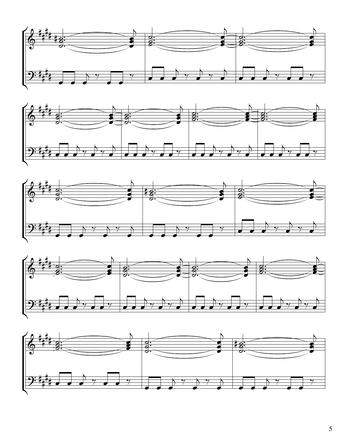







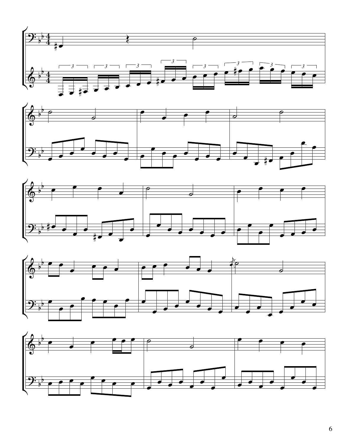







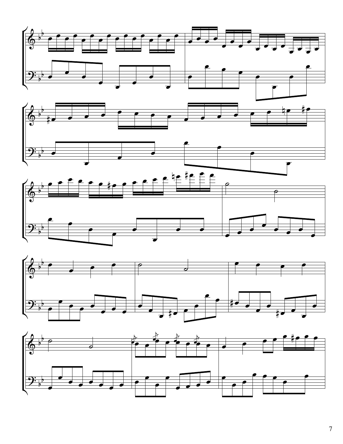



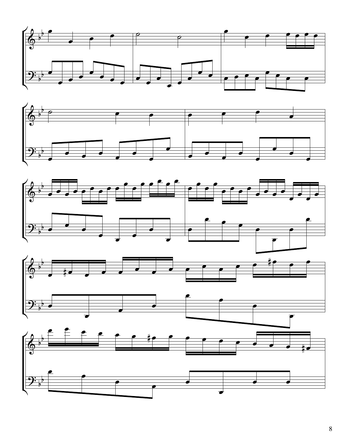







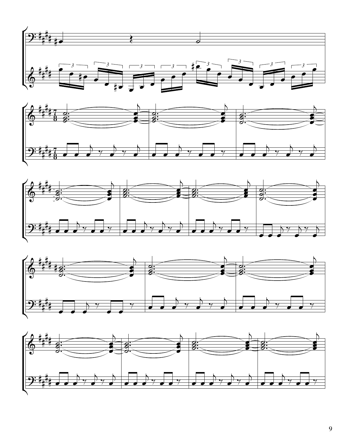







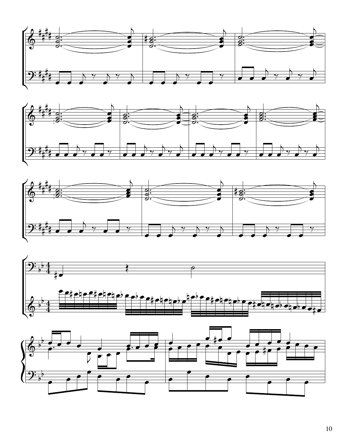







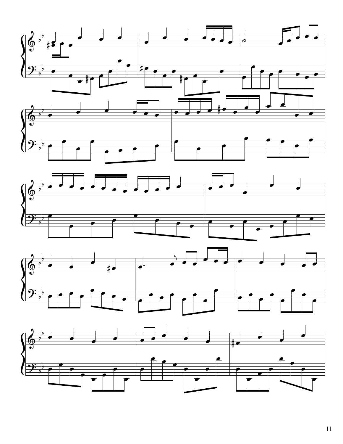





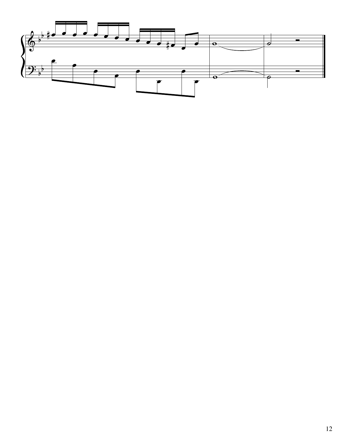